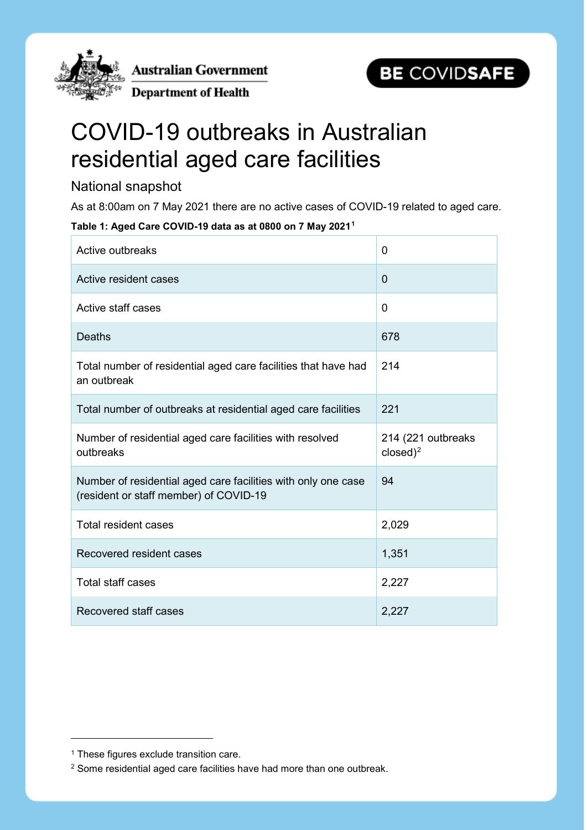

Australian Government

**Department of Health** 



# COVID-19 outbreaks in Australian residential aged care facilities

# National snapshot

As at 8:00am on 7 May 2021 there are no active cases of COVID-19 related to aged care.

**Table 1: Aged Care COVID-19 data as at 0800 on 7 May 2021[1](#page-0-0)**

| Active outbreaks                                                                                        | $\Omega$                          |
|---------------------------------------------------------------------------------------------------------|-----------------------------------|
| Active resident cases                                                                                   | $\overline{0}$                    |
| Active staff cases                                                                                      | 0                                 |
| <b>Deaths</b>                                                                                           | 678                               |
| Total number of residential aged care facilities that have had<br>an outbreak                           | 214                               |
| Total number of outbreaks at residential aged care facilities                                           | 221                               |
|                                                                                                         |                                   |
| Number of residential aged care facilities with resolved<br>outbreaks                                   | 214 (221 outbreaks<br>$closed)^2$ |
| Number of residential aged care facilities with only one case<br>(resident or staff member) of COVID-19 | 94                                |
| <b>Total resident cases</b>                                                                             | 2,029                             |
| Recovered resident cases                                                                                | 1,351                             |
| <b>Total staff cases</b>                                                                                | 2,227                             |

-

<span id="page-0-0"></span><sup>&</sup>lt;sup>1</sup> These figures exclude transition care.

<span id="page-0-1"></span><sup>2</sup> Some residential aged care facilities have had more than one outbreak.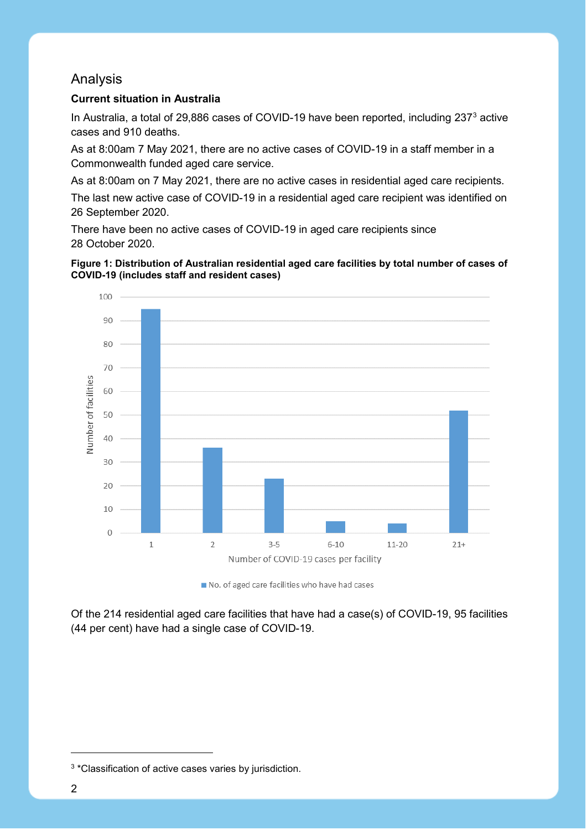# Analysis

### **Current situation in Australia**

In Australia, a total of 29,886 cases of COVID-19 have been reported, including 2[3](#page-1-0)7<sup>3</sup> active cases and 910 deaths.

As at 8:00am 7 May 2021, there are no active cases of COVID-19 in a staff member in a Commonwealth funded aged care service.

As at 8:00am on 7 May 2021, there are no active cases in residential aged care recipients.

The last new active case of COVID-19 in a residential aged care recipient was identified on 26 September 2020.

There have been no active cases of COVID-19 in aged care recipients since 28 October 2020.





No. of aged care facilities who have had cases

Of the 214 residential aged care facilities that have had a case(s) of COVID-19, 95 facilities (44 per cent) have had a single case of COVID-19.

-

<span id="page-1-0"></span><sup>3</sup> \*Classification of active cases varies by jurisdiction.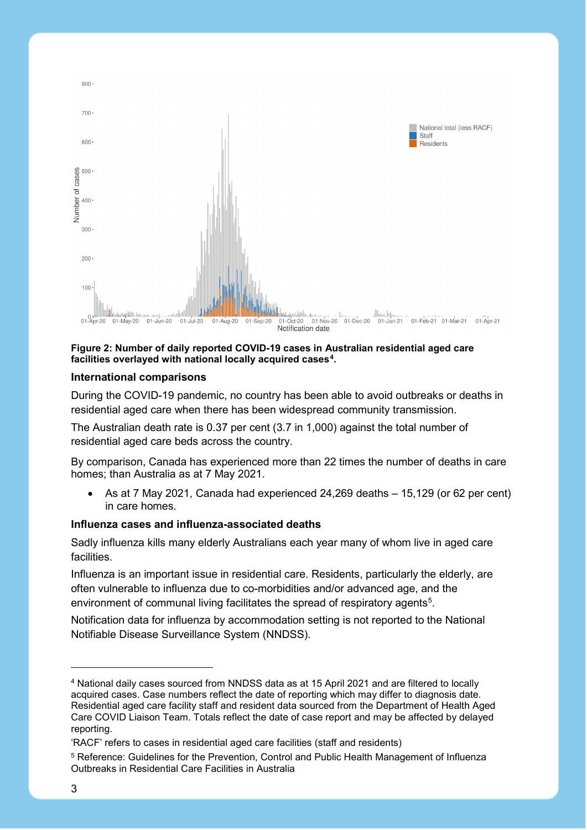

#### **Figure 2: Number of daily reported COVID-19 cases in Australian residential aged care facilities overlayed with national locally acquired cases[4.](#page-2-0)**

#### **International comparisons**

During the COVID-19 pandemic, no country has been able to avoid outbreaks or deaths in residential aged care when there has been widespread community transmission.

The Australian death rate is 0.37 per cent (3.7 in 1,000) against the total number of residential aged care beds across the country.

By comparison, Canada has experienced more than 22 times the number of deaths in care homes; than Australia as at 7 May 2021.

• As at 7 May 2021, Canada had experienced 24,269 deaths – 15,129 (or 62 per cent) in care homes.

#### **Influenza cases and influenza-associated deaths**

Sadly influenza kills many elderly Australians each year many of whom live in aged care **facilities** 

Influenza is an important issue in residential care. Residents, particularly the elderly, are often vulnerable to influenza due to co-morbidities and/or advanced age, and the environment of communal living facilitates the spread of respiratory agents<sup>5</sup>.

Notification data for influenza by accommodation setting is not reported to the National Notifiable Disease Surveillance System (NNDSS).

-

<span id="page-2-0"></span><sup>4</sup> National daily cases sourced from NNDSS data as at 15 April 2021 and are filtered to locally acquired cases. Case numbers reflect the date of reporting which may differ to diagnosis date. Residential aged care facility staff and resident data sourced from the Department of Health Aged Care COVID Liaison Team. Totals reflect the date of case report and may be affected by delayed reporting.

<sup>&#</sup>x27;RACF' refers to cases in residential aged care facilities (staff and residents)

<span id="page-2-1"></span><sup>5</sup> Reference: Guidelines for the Prevention, Control and Public Health Management of Influenza Outbreaks in Residential Care Facilities in Australia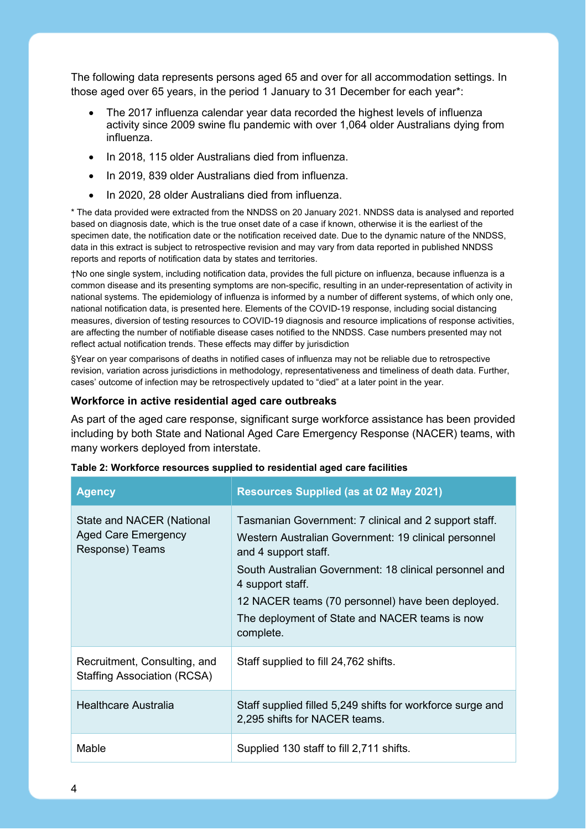The following data represents persons aged 65 and over for all accommodation settings. In those aged over 65 years, in the period 1 January to 31 December for each year\*:

- The 2017 influenza calendar year data recorded the highest levels of influenza activity since 2009 swine flu pandemic with over 1,064 older Australians dying from influenza.
- In 2018, 115 older Australians died from influenza.
- In 2019, 839 older Australians died from influenza.
- In 2020, 28 older Australians died from influenza.

\* The data provided were extracted from the NNDSS on 20 January 2021. NNDSS data is analysed and reported based on diagnosis date, which is the true onset date of a case if known, otherwise it is the earliest of the specimen date, the notification date or the notification received date. Due to the dynamic nature of the NNDSS, data in this extract is subject to retrospective revision and may vary from data reported in published NNDSS reports and reports of notification data by states and territories.

†No one single system, including notification data, provides the full picture on influenza, because influenza is a common disease and its presenting symptoms are non-specific, resulting in an under-representation of activity in national systems. The epidemiology of influenza is informed by a number of different systems, of which only one, national notification data, is presented here. Elements of the COVID-19 response, including social distancing measures, diversion of testing resources to COVID-19 diagnosis and resource implications of response activities, are affecting the number of notifiable disease cases notified to the NNDSS. Case numbers presented may not reflect actual notification trends. These effects may differ by jurisdiction

§Year on year comparisons of deaths in notified cases of influenza may not be reliable due to retrospective revision, variation across jurisdictions in methodology, representativeness and timeliness of death data. Further, cases' outcome of infection may be retrospectively updated to "died" at a later point in the year.

#### **Workforce in active residential aged care outbreaks**

As part of the aged care response, significant surge workforce assistance has been provided including by both State and National Aged Care Emergency Response (NACER) teams, with many workers deployed from interstate.

| <b>Agency</b>                                                              | <b>Resources Supplied (as at 02 May 2021)</b>                                                                                                                                                                                                                                                                                           |
|----------------------------------------------------------------------------|-----------------------------------------------------------------------------------------------------------------------------------------------------------------------------------------------------------------------------------------------------------------------------------------------------------------------------------------|
| State and NACER (National<br><b>Aged Care Emergency</b><br>Response) Teams | Tasmanian Government: 7 clinical and 2 support staff.<br>Western Australian Government: 19 clinical personnel<br>and 4 support staff.<br>South Australian Government: 18 clinical personnel and<br>4 support staff.<br>12 NACER teams (70 personnel) have been deployed.<br>The deployment of State and NACER teams is now<br>complete. |
| Recruitment, Consulting, and<br><b>Staffing Association (RCSA)</b>         | Staff supplied to fill 24,762 shifts.                                                                                                                                                                                                                                                                                                   |
| Healthcare Australia                                                       | Staff supplied filled 5,249 shifts for workforce surge and<br>2,295 shifts for NACER teams.                                                                                                                                                                                                                                             |
| Mable                                                                      | Supplied 130 staff to fill 2,711 shifts.                                                                                                                                                                                                                                                                                                |

| Table 2: Workforce resources supplied to residential aged care facilities |  |  |  |
|---------------------------------------------------------------------------|--|--|--|
|---------------------------------------------------------------------------|--|--|--|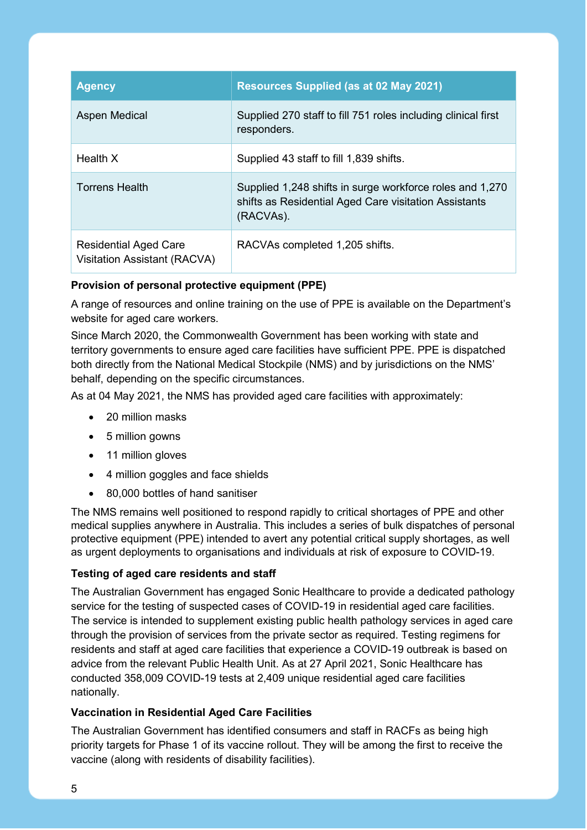| <b>Agency</b>                                                       | <b>Resources Supplied (as at 02 May 2021)</b>                                                                                  |
|---------------------------------------------------------------------|--------------------------------------------------------------------------------------------------------------------------------|
| <b>Aspen Medical</b>                                                | Supplied 270 staff to fill 751 roles including clinical first<br>responders.                                                   |
| Health X                                                            | Supplied 43 staff to fill 1,839 shifts.                                                                                        |
| <b>Torrens Health</b>                                               | Supplied 1,248 shifts in surge workforce roles and 1,270<br>shifts as Residential Aged Care visitation Assistants<br>(RACVAs). |
| <b>Residential Aged Care</b><br><b>Visitation Assistant (RACVA)</b> | RACVAs completed 1,205 shifts.                                                                                                 |

## **Provision of personal protective equipment (PPE)**

A range of resources and online training on the use of PPE is available on the Department's website for aged care workers.

Since March 2020, the Commonwealth Government has been working with state and territory governments to ensure aged care facilities have sufficient PPE. PPE is dispatched both directly from the National Medical Stockpile (NMS) and by jurisdictions on the NMS' behalf, depending on the specific circumstances.

As at 04 May 2021, the NMS has provided aged care facilities with approximately:

- 20 million masks
- 5 million gowns
- 11 million gloves
- 4 million goggles and face shields
- 80,000 bottles of hand sanitiser

The NMS remains well positioned to respond rapidly to critical shortages of PPE and other medical supplies anywhere in Australia. This includes a series of bulk dispatches of personal protective equipment (PPE) intended to avert any potential critical supply shortages, as well as urgent deployments to organisations and individuals at risk of exposure to COVID-19.

## **Testing of aged care residents and staff**

The Australian Government has engaged Sonic Healthcare to provide a dedicated pathology service for the testing of suspected cases of COVID-19 in residential aged care facilities. The service is intended to supplement existing public health pathology services in aged care through the provision of services from the private sector as required. Testing regimens for residents and staff at aged care facilities that experience a COVID-19 outbreak is based on advice from the relevant Public Health Unit. As at 27 April 2021, Sonic Healthcare has conducted 358,009 COVID-19 tests at 2,409 unique residential aged care facilities nationally.

## **Vaccination in Residential Aged Care Facilities**

The Australian Government has identified consumers and staff in RACFs as being high priority targets for Phase 1 of its vaccine rollout. They will be among the first to receive the vaccine (along with residents of disability facilities).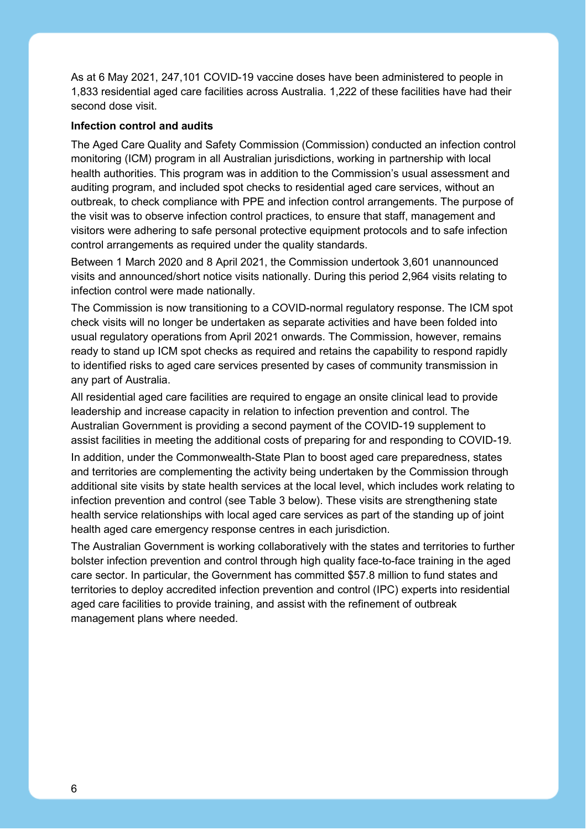As at 6 May 2021, 247,101 COVID-19 vaccine doses have been administered to people in 1,833 residential aged care facilities across Australia. 1,222 of these facilities have had their second dose visit.

#### **Infection control and audits**

The Aged Care Quality and Safety Commission (Commission) conducted an infection control monitoring (ICM) program in all Australian jurisdictions, working in partnership with local health authorities. This program was in addition to the Commission's usual assessment and auditing program, and included spot checks to residential aged care services, without an outbreak, to check compliance with PPE and infection control arrangements. The purpose of the visit was to observe infection control practices, to ensure that staff, management and visitors were adhering to safe personal protective equipment protocols and to safe infection control arrangements as required under the quality standards.

Between 1 March 2020 and 8 April 2021, the Commission undertook 3,601 unannounced visits and announced/short notice visits nationally. During this period 2,964 visits relating to infection control were made nationally.

The Commission is now transitioning to a COVID-normal regulatory response. The ICM spot check visits will no longer be undertaken as separate activities and have been folded into usual regulatory operations from April 2021 onwards. The Commission, however, remains ready to stand up ICM spot checks as required and retains the capability to respond rapidly to identified risks to aged care services presented by cases of community transmission in any part of Australia.

All residential aged care facilities are required to engage an onsite clinical lead to provide leadership and increase capacity in relation to infection prevention and control. The Australian Government is providing a second payment of the COVID-19 supplement to assist facilities in meeting the additional costs of preparing for and responding to COVID-19.

In addition, under the Commonwealth-State Plan to boost aged care preparedness, states and territories are complementing the activity being undertaken by the Commission through additional site visits by state health services at the local level, which includes work relating to infection prevention and control (see Table 3 below). These visits are strengthening state health service relationships with local aged care services as part of the standing up of joint health aged care emergency response centres in each jurisdiction.

The Australian Government is working collaboratively with the states and territories to further bolster infection prevention and control through high quality face-to-face training in the aged care sector. In particular, the Government has committed \$57.8 million to fund states and territories to deploy accredited infection prevention and control (IPC) experts into residential aged care facilities to provide training, and assist with the refinement of outbreak management plans where needed.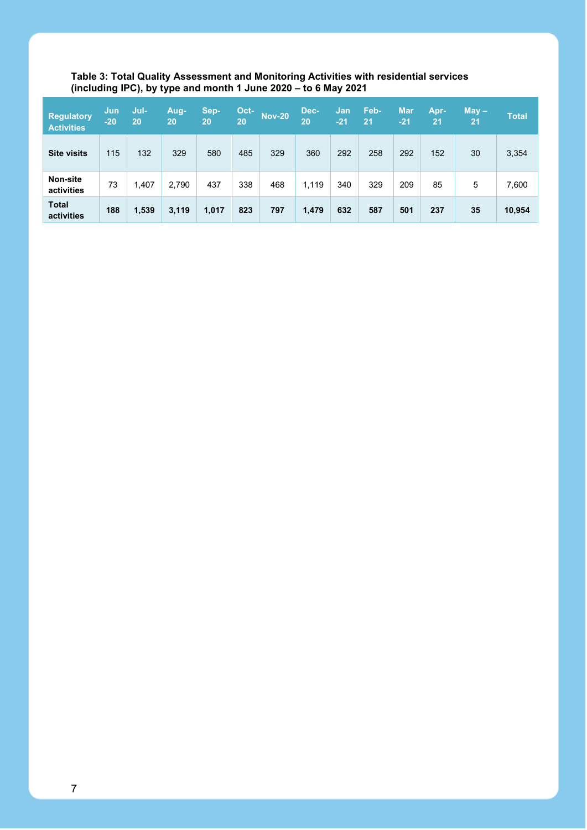#### **Table 3: Total Quality Assessment and Monitoring Activities with residential services (including IPC), by type and month 1 June 2020 – to 6 May 2021**

| <b>Regulatory</b><br><b>Activities</b> | Jun<br>$-20$ | Jul-<br>20 | 'Aug-<br>20 | Sep-<br>20 | Oct-<br>20 | <b>Nov-20</b> | Dec-<br>20 | Jan<br>$-21$ | Feb-<br>21 | <b>Mar</b><br>$-21$ | Apr-<br>21 | $May -$<br>21 | <b>Total</b> |
|----------------------------------------|--------------|------------|-------------|------------|------------|---------------|------------|--------------|------------|---------------------|------------|---------------|--------------|
| <b>Site visits</b>                     | 115          | 132        | 329         | 580        | 485        | 329           | 360        | 292          | 258        | 292                 | 152        | 30            | 3,354        |
| Non-site<br>activities                 | 73           | 1,407      | 2,790       | 437        | 338        | 468           | 1,119      | 340          | 329        | 209                 | 85         | 5             | 7,600        |
| <b>Total</b><br>activities             | 188          | 1,539      | 3,119       | 1,017      | 823        | 797           | 1,479      | 632          | 587        | 501                 | 237        | 35            | 10,954       |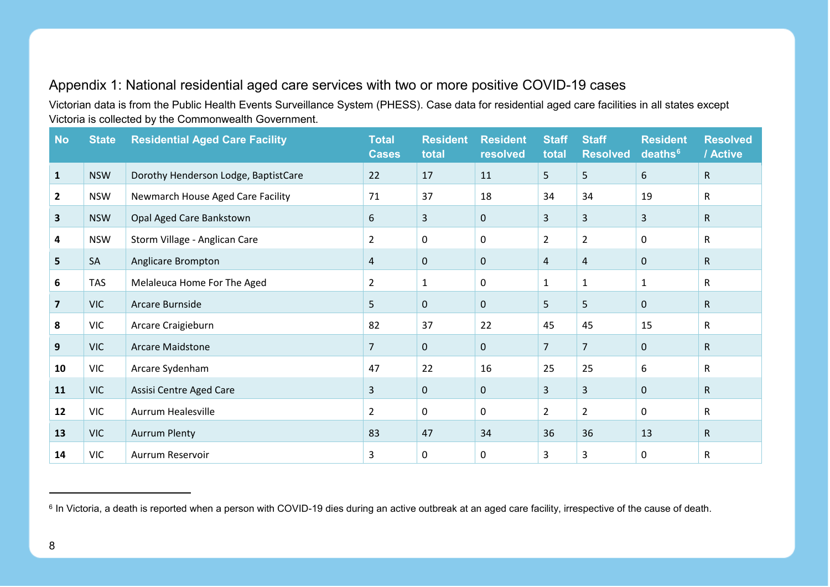# <span id="page-7-0"></span>Appendix 1: National residential aged care services with two or more positive COVID-19 cases

Victorian data is from the Public Health Events Surveillance System (PHESS). Case data for residential aged care facilities in all states except Victoria is collected by the Commonwealth Government.

| <b>No</b>      | <b>State</b> | <b>Residential Aged Care Facility</b> | <b>Total</b><br><b>Cases</b> | <b>Resident</b><br>total | <b>Resident</b><br>resolved | <b>Staff</b><br>total | <b>Staff</b><br><b>Resolved</b> | <b>Resident</b><br>deaths <sup>6</sup> | <b>Resolved</b><br>/ Active |
|----------------|--------------|---------------------------------------|------------------------------|--------------------------|-----------------------------|-----------------------|---------------------------------|----------------------------------------|-----------------------------|
| 1              | <b>NSW</b>   | Dorothy Henderson Lodge, BaptistCare  | 22                           | 17                       | 11                          | 5                     | 5                               | 6                                      | $\mathsf{R}$                |
| $\mathbf{2}$   | <b>NSW</b>   | Newmarch House Aged Care Facility     | 71                           | 37                       | 18                          | 34                    | 34                              | 19                                     | R                           |
| $\mathbf{3}$   | <b>NSW</b>   | Opal Aged Care Bankstown              | 6                            | 3                        | $\mathbf 0$                 | $\mathbf{3}$          | 3                               | 3                                      | $\mathsf{R}$                |
| 4              | <b>NSW</b>   | Storm Village - Anglican Care         | $\overline{2}$               | $\mathbf{0}$             | 0                           | $\overline{2}$        | $\overline{2}$                  | 0                                      | R                           |
| 5              | SA           | Anglicare Brompton                    | 4                            | $\mathbf 0$              | $\mathbf 0$                 | 4                     | 4                               | $\mathbf 0$                            | $\mathsf{R}$                |
| 6              | <b>TAS</b>   | Melaleuca Home For The Aged           | $\overline{2}$               | 1                        | $\Omega$                    | $\mathbf{1}$          | $\mathbf{1}$                    | $\mathbf{1}$                           | R                           |
| $\overline{7}$ | <b>VIC</b>   | Arcare Burnside                       | 5                            | $\mathbf 0$              | $\mathbf{0}$                | 5                     | 5                               | $\mathbf 0$                            | $\mathsf{R}$                |
| 8              | <b>VIC</b>   | Arcare Craigieburn                    | 82                           | 37                       | 22                          | 45                    | 45                              | 15                                     | $\mathsf{R}$                |
| 9              | <b>VIC</b>   | <b>Arcare Maidstone</b>               | $\overline{7}$               | $\mathbf 0$              | $\mathbf 0$                 | $\overline{7}$        | $\overline{7}$                  | $\mathbf 0$                            | $\mathsf{R}$                |
| 10             | <b>VIC</b>   | Arcare Sydenham                       | 47                           | 22                       | 16                          | 25                    | 25                              | 6                                      | R                           |
| 11             | <b>VIC</b>   | Assisi Centre Aged Care               | 3                            | $\mathbf 0$              | $\mathbf 0$                 | 3                     | $\overline{3}$                  | $\mathbf 0$                            | $\mathsf{R}$                |
| 12             | <b>VIC</b>   | Aurrum Healesville                    | $\overline{2}$               | 0                        | $\Omega$                    | $\overline{2}$        | $\overline{2}$                  | $\mathbf{0}$                           | R                           |
| 13             | <b>VIC</b>   | <b>Aurrum Plenty</b>                  | 83                           | 47                       | 34                          | 36                    | 36                              | 13                                     | $\mathsf{R}$                |
| 14             | <b>VIC</b>   | Aurrum Reservoir                      | 3                            | 0                        | 0                           | 3                     | 3                               | 0                                      | $\mathsf{R}$                |

 $\overline{a}$ 

<sup>&</sup>lt;sup>6</sup> In Victoria, a death is reported when a person with COVID-19 dies during an active outbreak at an aged care facility, irrespective of the cause of death.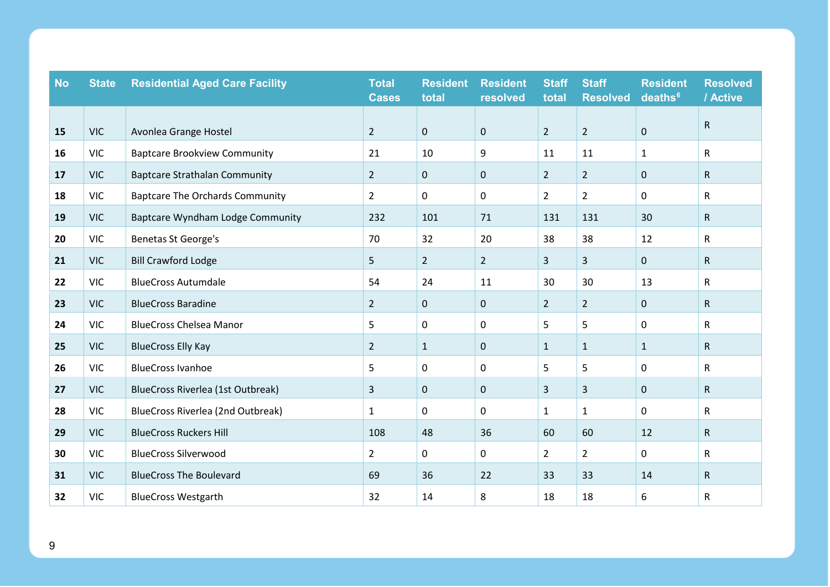| <b>No</b> | <b>State</b> | <b>Residential Aged Care Facility</b>  | <b>Total</b><br><b>Cases</b> | <b>Resident</b><br>total | <b>Resident</b><br>resolved | <b>Staff</b><br>total | <b>Staff</b><br><b>Resolved</b> | <b>Resident</b><br>deaths <sup>6</sup> | <b>Resolved</b><br>/ Active |
|-----------|--------------|----------------------------------------|------------------------------|--------------------------|-----------------------------|-----------------------|---------------------------------|----------------------------------------|-----------------------------|
|           |              |                                        |                              |                          |                             |                       |                                 |                                        |                             |
| 15        | <b>VIC</b>   | Avonlea Grange Hostel                  | $\overline{2}$               | $\mathbf 0$              | $\mathbf 0$                 | $\overline{2}$        | $\overline{2}$                  | $\pmb{0}$                              | $\mathsf{R}$                |
| 16        | <b>VIC</b>   | <b>Baptcare Brookview Community</b>    | 21                           | 10                       | 9                           | 11                    | 11                              | $\mathbf{1}$                           | $\mathsf{R}$                |
| 17        | <b>VIC</b>   | <b>Baptcare Strathalan Community</b>   | $\overline{2}$               | $\mathbf 0$              | $\mathbf 0$                 | $\overline{2}$        | $\overline{2}$                  | 0                                      | $\mathsf{R}$                |
| 18        | <b>VIC</b>   | <b>Baptcare The Orchards Community</b> | $\overline{2}$               | 0                        | 0                           | $\overline{2}$        | $\overline{2}$                  | 0                                      | $\mathsf{R}$                |
| 19        | <b>VIC</b>   | Baptcare Wyndham Lodge Community       | 232                          | 101                      | $71\,$                      | 131                   | 131                             | 30                                     | $\mathsf R$                 |
| 20        | <b>VIC</b>   | Benetas St George's                    | 70                           | 32                       | 20                          | 38                    | 38                              | 12                                     | $\mathsf{R}$                |
| 21        | <b>VIC</b>   | <b>Bill Crawford Lodge</b>             | 5                            | $\overline{2}$           | $\overline{2}$              | 3                     | $\mathsf{3}$                    | $\mathbf 0$                            | $\mathsf{R}$                |
| 22        | <b>VIC</b>   | <b>BlueCross Autumdale</b>             | 54                           | 24                       | 11                          | 30                    | 30                              | 13                                     | $\mathsf{R}$                |
| 23        | <b>VIC</b>   | <b>BlueCross Baradine</b>              | 2 <sup>1</sup>               | $\mathbf 0$              | $\mathbf 0$                 | $\overline{2}$        | $\overline{2}$                  | $\mathbf 0$                            | $\mathsf{R}$                |
| 24        | <b>VIC</b>   | <b>BlueCross Chelsea Manor</b>         | 5                            | 0                        | 0                           | 5                     | 5                               | 0                                      | $\mathsf{R}$                |
| 25        | <b>VIC</b>   | <b>BlueCross Elly Kay</b>              | $\overline{2}$               | $\mathbf{1}$             | $\mathbf{0}$                | $\mathbf{1}$          | $\mathbf{1}$                    | $\mathbf{1}$                           | $\mathsf{R}$                |
| 26        | <b>VIC</b>   | <b>BlueCross Ivanhoe</b>               | 5                            | $\mathbf 0$              | 0                           | 5                     | 5                               | 0                                      | $\mathsf{R}$                |
| 27        | <b>VIC</b>   | BlueCross Riverlea (1st Outbreak)      | 3                            | $\mathbf 0$              | $\mathbf 0$                 | $\mathsf{3}$          | $\overline{3}$                  | $\mathbf 0$                            | $\mathsf{R}$                |
| 28        | <b>VIC</b>   | BlueCross Riverlea (2nd Outbreak)      | $\mathbf{1}$                 | 0                        | $\mathbf{0}$                | $\mathbf{1}$          | $\mathbf{1}$                    | 0                                      | R                           |
| 29        | <b>VIC</b>   | <b>BlueCross Ruckers Hill</b>          | 108                          | 48                       | 36                          | 60                    | 60                              | 12                                     | $\mathsf{R}$                |
| 30        | <b>VIC</b>   | <b>BlueCross Silverwood</b>            | $\overline{2}$               | 0                        | 0                           | $\overline{2}$        | $\overline{2}$                  | 0                                      | $\mathsf{R}$                |
| 31        | <b>VIC</b>   | <b>BlueCross The Boulevard</b>         | 69                           | 36                       | 22                          | 33                    | 33                              | 14                                     | $\mathsf{R}$                |
| 32        | <b>VIC</b>   | <b>BlueCross Westgarth</b>             | 32                           | 14                       | 8                           | 18                    | 18                              | 6                                      | R                           |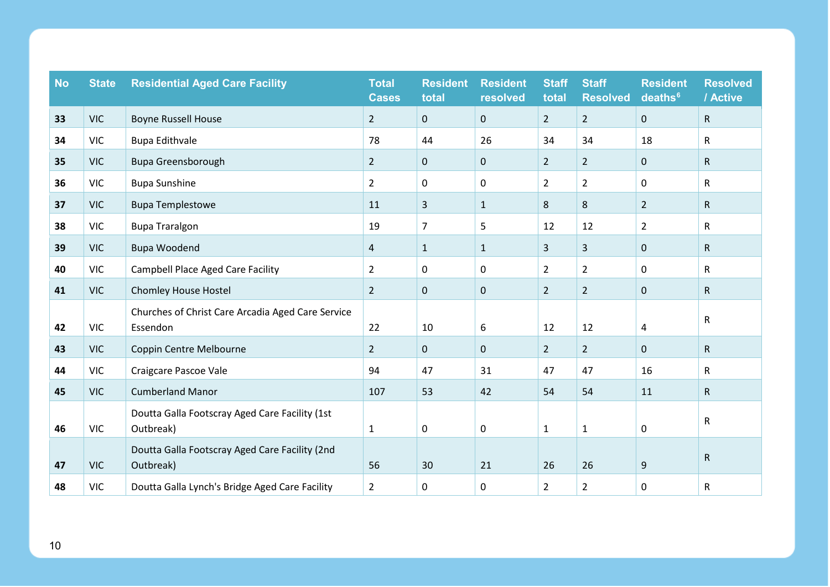| <b>No</b> | <b>State</b> | <b>Residential Aged Care Facility</b>                         | <b>Total</b><br><b>Cases</b> | <b>Resident</b><br>total | <b>Resident</b><br>resolved | <b>Staff</b><br>total | <b>Staff</b><br><b>Resolved</b> | <b>Resident</b><br>deaths <sup>6</sup> | <b>Resolved</b><br>/ Active |
|-----------|--------------|---------------------------------------------------------------|------------------------------|--------------------------|-----------------------------|-----------------------|---------------------------------|----------------------------------------|-----------------------------|
| 33        | <b>VIC</b>   | <b>Boyne Russell House</b>                                    | $2^{\circ}$                  | $\mathbf{0}$             | $\mathbf 0$                 | $2^{\circ}$           | $\overline{2}$                  | $\pmb{0}$                              | $\mathsf{R}$                |
| 34        | <b>VIC</b>   | <b>Bupa Edithvale</b>                                         | 78                           | 44                       | 26                          | 34                    | 34                              | 18                                     | $\mathsf{R}$                |
| 35        | <b>VIC</b>   | <b>Bupa Greensborough</b>                                     | $2^{\circ}$                  | $\mathbf 0$              | $\mathbf 0$                 | $\overline{2}$        | $\overline{2}$                  | $\mathbf 0$                            | $\mathsf{R}$                |
| 36        | <b>VIC</b>   | <b>Bupa Sunshine</b>                                          | $\overline{2}$               | $\mathbf 0$              | $\mathbf{0}$                | $\overline{2}$        | $\overline{2}$                  | 0                                      | $\mathsf{R}$                |
| 37        | <b>VIC</b>   | <b>Bupa Templestowe</b>                                       | 11                           | $\mathbf{3}$             | $\mathbf{1}$                | 8                     | $\,8\,$                         | $\overline{2}$                         | $\mathsf{R}$                |
| 38        | <b>VIC</b>   | <b>Bupa Traralgon</b>                                         | 19                           | $\overline{7}$           | 5                           | 12                    | 12                              | $\overline{2}$                         | R                           |
| 39        | <b>VIC</b>   | <b>Bupa Woodend</b>                                           | 4                            | $\mathbf{1}$             | $\mathbf{1}$                | 3                     | $\mathsf{3}$                    | $\mathbf 0$                            | $\mathsf{R}$                |
| 40        | <b>VIC</b>   | <b>Campbell Place Aged Care Facility</b>                      | $\overline{2}$               | 0                        | 0                           | $\overline{2}$        | $\overline{2}$                  | 0                                      | $\mathsf{R}$                |
| 41        | <b>VIC</b>   | Chomley House Hostel                                          | $\overline{2}$               | $\mathbf 0$              | $\mathbf 0$                 | $\overline{2}$        | $\overline{2}$                  | 0                                      | $\mathsf{R}$                |
| 42        | <b>VIC</b>   | Churches of Christ Care Arcadia Aged Care Service<br>Essendon | 22                           | 10                       | 6                           | 12                    | 12                              | 4                                      | R                           |
| 43        | <b>VIC</b>   | Coppin Centre Melbourne                                       | $2^{\circ}$                  | $\mathbf 0$              | $\mathbf 0$                 | $\overline{2}$        | $\overline{2}$                  | $\mathbf 0$                            | $\mathsf{R}$                |
| 44        | <b>VIC</b>   | Craigcare Pascoe Vale                                         | 94                           | 47                       | 31                          | 47                    | 47                              | 16                                     | $\mathsf{R}$                |
| 45        | <b>VIC</b>   | <b>Cumberland Manor</b>                                       | 107                          | 53                       | 42                          | 54                    | 54                              | 11                                     | $\mathsf{R}$                |
| 46        | <b>VIC</b>   | Doutta Galla Footscray Aged Care Facility (1st<br>Outbreak)   | $\mathbf{1}$                 | $\pmb{0}$                | $\mathsf 0$                 | $\mathbf{1}$          | $\mathbf 1$                     | 0                                      | $\mathsf{R}$                |
| 47        | <b>VIC</b>   | Doutta Galla Footscray Aged Care Facility (2nd<br>Outbreak)   | 56                           | 30                       | 21                          | 26                    | 26                              | 9                                      | $\mathsf{R}$                |
| 48        | <b>VIC</b>   | Doutta Galla Lynch's Bridge Aged Care Facility                | $\overline{2}$               | 0                        | 0                           | $\overline{2}$        | $\overline{2}$                  | 0                                      | $\mathsf{R}$                |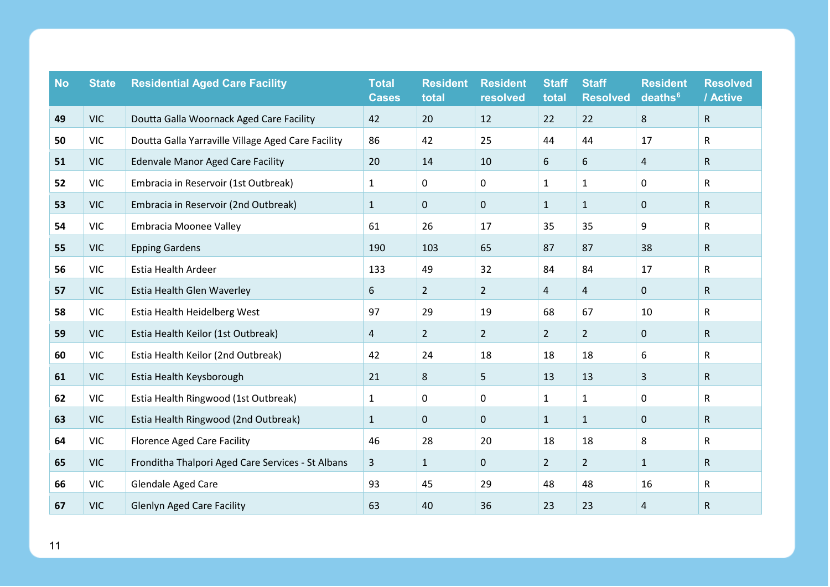| <b>No</b> | <b>State</b> | <b>Residential Aged Care Facility</b>              | <b>Total</b><br><b>Cases</b> | <b>Resident</b><br>total | <b>Resident</b><br>resolved | <b>Staff</b><br>total | <b>Staff</b><br><b>Resolved</b> | <b>Resident</b><br>deaths <sup>6</sup> | <b>Resolved</b><br>/ Active |
|-----------|--------------|----------------------------------------------------|------------------------------|--------------------------|-----------------------------|-----------------------|---------------------------------|----------------------------------------|-----------------------------|
| 49        | <b>VIC</b>   | Doutta Galla Woornack Aged Care Facility           | 42                           | 20                       | 12                          | 22                    | 22                              | 8                                      | $\mathsf{R}$                |
| 50        | <b>VIC</b>   | Doutta Galla Yarraville Village Aged Care Facility | 86                           | 42                       | 25                          | 44                    | 44                              | 17                                     | R                           |
| 51        | <b>VIC</b>   | <b>Edenvale Manor Aged Care Facility</b>           | 20                           | 14                       | 10                          | 6                     | 6                               | $\overline{4}$                         | $\mathsf{R}$                |
| 52        | <b>VIC</b>   | Embracia in Reservoir (1st Outbreak)               | $\mathbf{1}$                 | 0                        | 0                           | $\mathbf{1}$          | $\mathbf{1}$                    | 0                                      | $\mathsf{R}$                |
| 53        | <b>VIC</b>   | Embracia in Reservoir (2nd Outbreak)               | $\mathbf{1}$                 | $\mathbf 0$              | $\mathbf 0$                 | $\mathbf{1}$          | $\mathbf{1}$                    | $\mathbf 0$                            | $\mathsf{R}$                |
| 54        | <b>VIC</b>   | <b>Embracia Moonee Valley</b>                      | 61                           | 26                       | 17                          | 35                    | 35                              | 9                                      | $\mathsf{R}$                |
| 55        | <b>VIC</b>   | <b>Epping Gardens</b>                              | 190                          | 103                      | 65                          | 87                    | 87                              | 38                                     | R                           |
| 56        | <b>VIC</b>   | Estia Health Ardeer                                | 133                          | 49                       | 32                          | 84                    | 84                              | 17                                     | $\mathsf{R}$                |
| 57        | <b>VIC</b>   | Estia Health Glen Waverley                         | 6                            | $\overline{2}$           | $\overline{2}$              | 4                     | $\overline{4}$                  | $\mathbf 0$                            | $\mathsf R$                 |
| 58        | <b>VIC</b>   | Estia Health Heidelberg West                       | 97                           | 29                       | 19                          | 68                    | 67                              | 10                                     | $\mathsf{R}$                |
| 59        | <b>VIC</b>   | Estia Health Keilor (1st Outbreak)                 | 4                            | $\overline{2}$           | $\overline{2}$              | $\overline{2}$        | $\overline{2}$                  | $\mathbf 0$                            | $\mathsf{R}$                |
| 60        | <b>VIC</b>   | Estia Health Keilor (2nd Outbreak)                 | 42                           | 24                       | 18                          | 18                    | 18                              | 6                                      | $\mathsf{R}$                |
| 61        | <b>VIC</b>   | Estia Health Keysborough                           | 21                           | 8                        | 5                           | 13                    | 13                              | 3                                      | R                           |
| 62        | <b>VIC</b>   | Estia Health Ringwood (1st Outbreak)               | $\mathbf{1}$                 | 0                        | 0                           | $\mathbf{1}$          | $\mathbf{1}$                    | 0                                      | $\mathsf{R}$                |
| 63        | <b>VIC</b>   | Estia Health Ringwood (2nd Outbreak)               | $\mathbf{1}$                 | $\mathbf 0$              | $\pmb{0}$                   | $\mathbf{1}$          | $\mathbf 1$                     | $\mathbf 0$                            | $\mathsf R$                 |
| 64        | <b>VIC</b>   | <b>Florence Aged Care Facility</b>                 | 46                           | 28                       | 20                          | 18                    | 18                              | 8                                      | $\mathsf{R}$                |
| 65        | <b>VIC</b>   | Fronditha Thalpori Aged Care Services - St Albans  | 3                            | $\mathbf{1}$             | $\mathbf{0}$                | $\overline{2}$        | $\overline{2}$                  | $\mathbf{1}$                           | $\mathsf{R}$                |
| 66        | <b>VIC</b>   | Glendale Aged Care                                 | 93                           | 45                       | 29                          | 48                    | 48                              | 16                                     | $\mathsf{R}$                |
| 67        | <b>VIC</b>   | <b>Glenlyn Aged Care Facility</b>                  | 63                           | 40                       | 36                          | 23                    | 23                              | $\overline{4}$                         | R                           |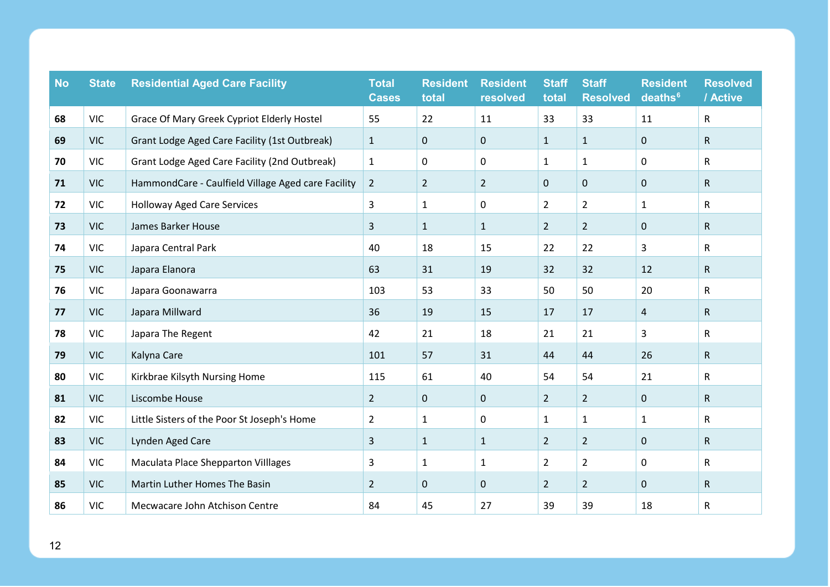| <b>No</b> | <b>State</b> | <b>Residential Aged Care Facility</b>              | <b>Total</b><br><b>Cases</b> | <b>Resident</b><br>total | <b>Resident</b><br>resolved | <b>Staff</b><br>total | <b>Staff</b><br><b>Resolved</b> | <b>Resident</b><br>deaths <sup>6</sup> | <b>Resolved</b><br>/ Active |
|-----------|--------------|----------------------------------------------------|------------------------------|--------------------------|-----------------------------|-----------------------|---------------------------------|----------------------------------------|-----------------------------|
| 68        | <b>VIC</b>   | Grace Of Mary Greek Cypriot Elderly Hostel         | 55                           | 22                       | 11                          | 33                    | 33                              | 11                                     | R                           |
| 69        | <b>VIC</b>   | Grant Lodge Aged Care Facility (1st Outbreak)      | $\mathbf{1}$                 | $\mathbf 0$              | 0                           | $\mathbf{1}$          | $\mathbf{1}$                    | $\mathbf 0$                            | $\mathsf{R}$                |
| 70        | <b>VIC</b>   | Grant Lodge Aged Care Facility (2nd Outbreak)      | $\mathbf{1}$                 | 0                        | 0                           | $\mathbf{1}$          | $\mathbf{1}$                    | 0                                      | R                           |
| 71        | <b>VIC</b>   | HammondCare - Caulfield Village Aged care Facility | $\overline{2}$               | $\overline{2}$           | $\overline{2}$              | $\mathbf 0$           | $\mathbf 0$                     | $\mathbf 0$                            | $\mathsf{R}$                |
| 72        | <b>VIC</b>   | <b>Holloway Aged Care Services</b>                 | 3                            | $\mathbf{1}$             | 0                           | $\overline{2}$        | $\overline{2}$                  | $\mathbf{1}$                           | R                           |
| 73        | <b>VIC</b>   | James Barker House                                 | 3                            | $\mathbf{1}$             | $\mathbf{1}$                | $\overline{2}$        | $\overline{2}$                  | $\mathbf 0$                            | ${\sf R}$                   |
| 74        | <b>VIC</b>   | Japara Central Park                                | 40                           | 18                       | 15                          | 22                    | 22                              | 3                                      | R                           |
| 75        | <b>VIC</b>   | Japara Elanora                                     | 63                           | 31                       | 19                          | 32                    | 32                              | 12                                     | R                           |
| 76        | <b>VIC</b>   | Japara Goonawarra                                  | 103                          | 53                       | 33                          | 50                    | 50                              | 20                                     | R                           |
| 77        | <b>VIC</b>   | Japara Millward                                    | 36                           | 19                       | 15                          | 17                    | 17                              | $\overline{a}$                         | R                           |
| 78        | <b>VIC</b>   | Japara The Regent                                  | 42                           | 21                       | 18                          | 21                    | 21                              | 3                                      | R                           |
| 79        | <b>VIC</b>   | Kalyna Care                                        | 101                          | 57                       | 31                          | 44                    | 44                              | 26                                     | R                           |
| 80        | <b>VIC</b>   | Kirkbrae Kilsyth Nursing Home                      | 115                          | 61                       | 40                          | 54                    | 54                              | 21                                     | R                           |
| 81        | <b>VIC</b>   | Liscombe House                                     | $\overline{2}$               | $\mathbf 0$              | 0                           | $\overline{2}$        | $\overline{2}$                  | $\mathbf 0$                            | ${\sf R}$                   |
| 82        | <b>VIC</b>   | Little Sisters of the Poor St Joseph's Home        | 2                            | 1                        | $\Omega$                    | $\mathbf{1}$          | $\mathbf{1}$                    | 1                                      | R                           |
| 83        | <b>VIC</b>   | Lynden Aged Care                                   | 3                            | $\mathbf{1}$             | $\mathbf{1}$                | $\overline{2}$        | $\overline{2}$                  | $\mathbf 0$                            | R                           |
| 84        | <b>VIC</b>   | <b>Maculata Place Shepparton Villages</b>          | 3                            | 1                        | $\mathbf{1}$                | $\overline{2}$        | $\overline{2}$                  | 0                                      | R                           |
| 85        | <b>VIC</b>   | Martin Luther Homes The Basin                      | $\overline{2}$               | $\mathbf 0$              | $\pmb{0}$                   | $\overline{2}$        | $\overline{2}$                  | $\mathbf 0$                            | R                           |
| 86        | <b>VIC</b>   | Mecwacare John Atchison Centre                     | 84                           | 45                       | 27                          | 39                    | 39                              | 18                                     | R                           |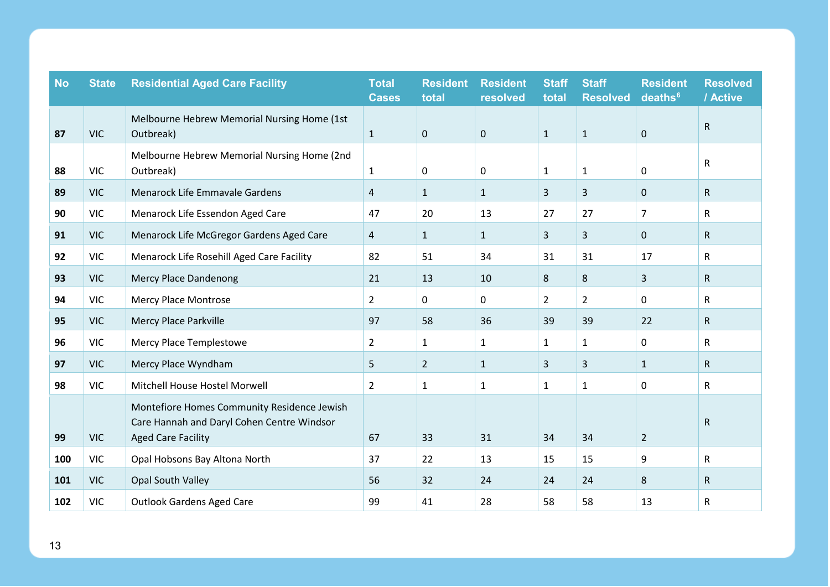| <b>No</b> | <b>State</b> | <b>Residential Aged Care Facility</b>                                                                                  | <b>Total</b><br><b>Cases</b> | <b>Resident</b><br>total | <b>Resident</b><br>resolved | <b>Staff</b><br>total | <b>Staff</b><br><b>Resolved</b> | <b>Resident</b><br>deaths <sup>6</sup> | <b>Resolved</b><br>/ Active |
|-----------|--------------|------------------------------------------------------------------------------------------------------------------------|------------------------------|--------------------------|-----------------------------|-----------------------|---------------------------------|----------------------------------------|-----------------------------|
| 87        | <b>VIC</b>   | Melbourne Hebrew Memorial Nursing Home (1st<br>Outbreak)                                                               | $\mathbf{1}$                 | $\mathbf 0$              | $\mathbf 0$                 | $\mathbf{1}$          | $\mathbf{1}$                    | $\mathbf 0$                            | $\mathsf{R}$                |
| 88        | <b>VIC</b>   | Melbourne Hebrew Memorial Nursing Home (2nd<br>Outbreak)                                                               | $\mathbf{1}$                 | 0                        | 0                           | $\mathbf{1}$          | $\mathbf{1}$                    | 0                                      | $\mathsf R$                 |
| 89        | <b>VIC</b>   | Menarock Life Emmavale Gardens                                                                                         | 4                            | $\mathbf{1}$             | $\mathbf{1}$                | $\overline{3}$        | 3                               | $\mathbf 0$                            | R                           |
| 90        | <b>VIC</b>   | Menarock Life Essendon Aged Care                                                                                       | 47                           | 20                       | 13                          | 27                    | 27                              | $\overline{7}$                         | $\mathsf{R}$                |
| 91        | <b>VIC</b>   | Menarock Life McGregor Gardens Aged Care                                                                               | 4                            | $\mathbf{1}$             | $\mathbf{1}$                | 3                     | 3                               | $\mathbf 0$                            | R                           |
| 92        | <b>VIC</b>   | Menarock Life Rosehill Aged Care Facility                                                                              | 82                           | 51                       | 34                          | 31                    | 31                              | 17                                     | R                           |
| 93        | <b>VIC</b>   | <b>Mercy Place Dandenong</b>                                                                                           | 21                           | 13                       | 10                          | 8                     | $\bf 8$                         | $\overline{3}$                         | ${\sf R}$                   |
| 94        | <b>VIC</b>   | <b>Mercy Place Montrose</b>                                                                                            | $\overline{2}$               | $\mathbf 0$              | 0                           | $\overline{2}$        | $\overline{2}$                  | $\mathbf 0$                            | R                           |
| 95        | <b>VIC</b>   | <b>Mercy Place Parkville</b>                                                                                           | 97                           | 58                       | 36                          | 39                    | 39                              | 22                                     | R.                          |
| 96        | <b>VIC</b>   | Mercy Place Templestowe                                                                                                | $\overline{2}$               | $\mathbf{1}$             | $\mathbf{1}$                | $\mathbf{1}$          | $\mathbf{1}$                    | $\mathbf 0$                            | $\mathsf{R}$                |
| 97        | <b>VIC</b>   | Mercy Place Wyndham                                                                                                    | 5                            | $\overline{2}$           | $\mathbf{1}$                | $\overline{3}$        | 3                               | $\mathbf{1}$                           | R                           |
| 98        | <b>VIC</b>   | Mitchell House Hostel Morwell                                                                                          | $\overline{2}$               | $\mathbf{1}$             | $\mathbf{1}$                | $\mathbf{1}$          | $\mathbf{1}$                    | $\mathbf 0$                            | R                           |
| 99        | <b>VIC</b>   | Montefiore Homes Community Residence Jewish<br>Care Hannah and Daryl Cohen Centre Windsor<br><b>Aged Care Facility</b> | 67                           | 33                       | 31                          | 34                    | 34                              | $\overline{2}$                         | $\mathsf{R}$                |
| 100       | <b>VIC</b>   | Opal Hobsons Bay Altona North                                                                                          | 37                           | 22                       | 13                          | 15                    | 15                              | 9                                      | $\mathsf{R}$                |
| 101       | <b>VIC</b>   | Opal South Valley                                                                                                      | 56                           | 32                       | 24                          | 24                    | 24                              | 8                                      | R                           |
| 102       | <b>VIC</b>   | <b>Outlook Gardens Aged Care</b>                                                                                       | 99                           | 41                       | 28                          | 58                    | 58                              | 13                                     | R                           |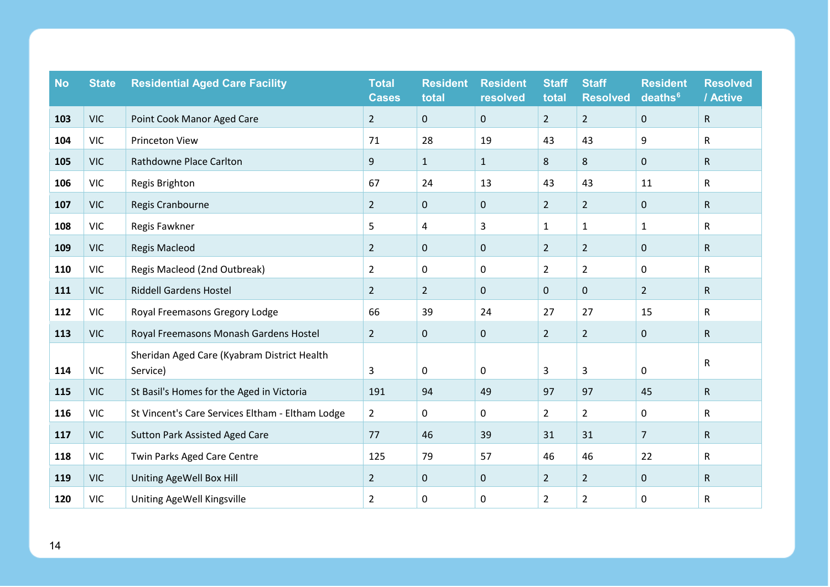| <b>No</b> | <b>State</b> | <b>Residential Aged Care Facility</b>                   | <b>Total</b><br><b>Cases</b> | <b>Resident</b><br>total | <b>Resident</b><br>resolved | <b>Staff</b><br>total | <b>Staff</b><br><b>Resolved</b> | <b>Resident</b><br>deaths <sup>6</sup> | <b>Resolved</b><br>/ Active |
|-----------|--------------|---------------------------------------------------------|------------------------------|--------------------------|-----------------------------|-----------------------|---------------------------------|----------------------------------------|-----------------------------|
| 103       | <b>VIC</b>   | Point Cook Manor Aged Care                              | $2^{\circ}$                  | $\mathbf 0$              | $\mathbf 0$                 | $\overline{2}$        | $\overline{2}$                  | $\mathbf 0$                            | $\mathsf{R}$                |
| 104       | <b>VIC</b>   | Princeton View                                          | 71                           | 28                       | 19                          | 43                    | 43                              | 9                                      | R                           |
| 105       | <b>VIC</b>   | <b>Rathdowne Place Carlton</b>                          | 9                            | $\mathbf{1}$             | $\mathbf{1}$                | 8                     | 8                               | $\pmb{0}$                              | $\mathsf{R}$                |
| 106       | <b>VIC</b>   | Regis Brighton                                          | 67                           | 24                       | 13                          | 43                    | 43                              | 11                                     | $\mathsf{R}$                |
| 107       | <b>VIC</b>   | Regis Cranbourne                                        | $2^{\circ}$                  | $\pmb{0}$                | $\mathbf 0$                 | $\overline{2}$        | $\overline{2}$                  | $\mathbf 0$                            | $\mathsf{R}$                |
| 108       | <b>VIC</b>   | Regis Fawkner                                           | 5                            | 4                        | 3                           | $\mathbf{1}$          | $\mathbf{1}$                    | $\mathbf{1}$                           | $\mathsf{R}$                |
| 109       | <b>VIC</b>   | <b>Regis Macleod</b>                                    | $2^{\circ}$                  | $\pmb{0}$                | $\mathbf 0$                 | $\overline{2}$        | $\overline{2}$                  | $\pmb{0}$                              | $\mathsf{R}$                |
| 110       | <b>VIC</b>   | Regis Macleod (2nd Outbreak)                            | $\overline{2}$               | 0                        | $\mathbf 0$                 | $\overline{2}$        | $\overline{2}$                  | 0                                      | R                           |
| 111       | <b>VIC</b>   | <b>Riddell Gardens Hostel</b>                           | $2^{\circ}$                  | $\overline{2}$           | $\mathbf 0$                 | 0                     | $\mathbf 0$                     | $\overline{2}$                         | $\mathsf{R}$                |
| 112       | <b>VIC</b>   | Royal Freemasons Gregory Lodge                          | 66                           | 39                       | 24                          | 27                    | 27                              | 15                                     | $\mathsf{R}$                |
| 113       | <b>VIC</b>   | Royal Freemasons Monash Gardens Hostel                  | $\overline{2}$               | $\mathbf 0$              | $\mathbf 0$                 | $\overline{2}$        | $\overline{2}$                  | $\pmb{0}$                              | R                           |
| 114       | <b>VIC</b>   | Sheridan Aged Care (Kyabram District Health<br>Service) | 3                            | 0                        | $\mathbf 0$                 | 3                     | $\overline{3}$                  | 0                                      | R                           |
| 115       | <b>VIC</b>   | St Basil's Homes for the Aged in Victoria               | 191                          | 94                       | 49                          | 97                    | 97                              | 45                                     | $\mathsf{R}$                |
| 116       | <b>VIC</b>   | St Vincent's Care Services Eltham - Eltham Lodge        | $2^{\circ}$                  | 0                        | 0                           | $\overline{2}$        | $\overline{2}$                  | 0                                      | $\mathsf{R}$                |
| 117       | <b>VIC</b>   | <b>Sutton Park Assisted Aged Care</b>                   | 77                           | 46                       | 39                          | 31                    | 31                              | $\overline{7}$                         | $\mathsf{R}$                |
| 118       | <b>VIC</b>   | Twin Parks Aged Care Centre                             | 125                          | 79                       | 57                          | 46                    | 46                              | 22                                     | R                           |
| 119       | <b>VIC</b>   | Uniting AgeWell Box Hill                                | $\overline{2}$               | $\pmb{0}$                | $\mathbf 0$                 | $\overline{2}$        | $\overline{2}$                  | $\pmb{0}$                              | $\mathsf{R}$                |
| 120       | <b>VIC</b>   | Uniting AgeWell Kingsville                              | $\overline{a}$               | 0                        | $\boldsymbol{0}$            | $\overline{2}$        | $\overline{2}$                  | 0                                      | R                           |